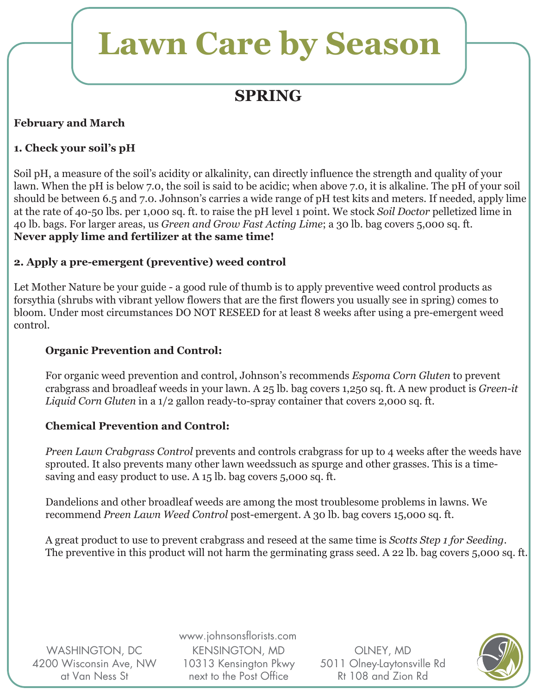## **SPRING**

### **February and March**

### **1. Check your soil's pH**

Soil pH, a measure of the soil's acidity or alkalinity, can directly influence the strength and quality of your lawn. When the pH is below 7.0, the soil is said to be acidic; when above 7.0, it is alkaline. The pH of your soil should be between 6.5 and 7.0. Johnson's carries a wide range of pH test kits and meters. If needed, apply lime at the rate of 40-50 lbs. per 1,000 sq. ft. to raise the pH level 1 point. We stock *Soil Doctor* pelletized lime in 40 lb. bags. For larger areas, us *Green and Grow Fast Acting Lime*; a 30 lb. bag covers 5,000 sq. ft. **Never apply lime and fertilizer at the same time!**

### **2. Apply a pre-emergent (preventive) weed control**

Let Mother Nature be your guide - a good rule of thumb is to apply preventive weed control products as forsythia (shrubs with vibrant yellow flowers that are the first flowers you usually see in spring) comes to bloom. Under most circumstances DO NOT RESEED for at least 8 weeks after using a pre-emergent weed control.

#### **Organic Prevention and Control:**

 For organic weed prevention and control, Johnson's recommends *Espoma Corn Gluten* to prevent crabgrass and broadleaf weeds in your lawn. A 25 lb. bag covers 1,250 sq. ft. A new product is *Green-it Liquid Corn Gluten* in a 1/2 gallon ready-to-spray container that covers 2,000 sq. ft.

### **Chemical Prevention and Control:**

 *Preen Lawn Crabgrass Control* prevents and controls crabgrass for up to 4 weeks after the weeds have sprouted. It also prevents many other lawn weedssuch as spurge and other grasses. This is a time saving and easy product to use. A 15 lb. bag covers 5,000 sq. ft.

 Dandelions and other broadleaf weeds are among the most troublesome problems in lawns. We recommend *Preen Lawn Weed Control* post-emergent. A 30 lb. bag covers 15,000 sq. ft.

 A great product to use to prevent crabgrass and reseed at the same time is *Scotts Step 1 for Seeding*. The preventive in this product will not harm the germinating grass seed. A 22 lb. bag covers 5,000 sq. ft.

WASHINGTON, DC 4200 Wisconsin Ave, NW at Van Ness St

www.johnsonsflorists.com KENSINGTON, MD 10313 Kensington Pkwy next to the Post Office

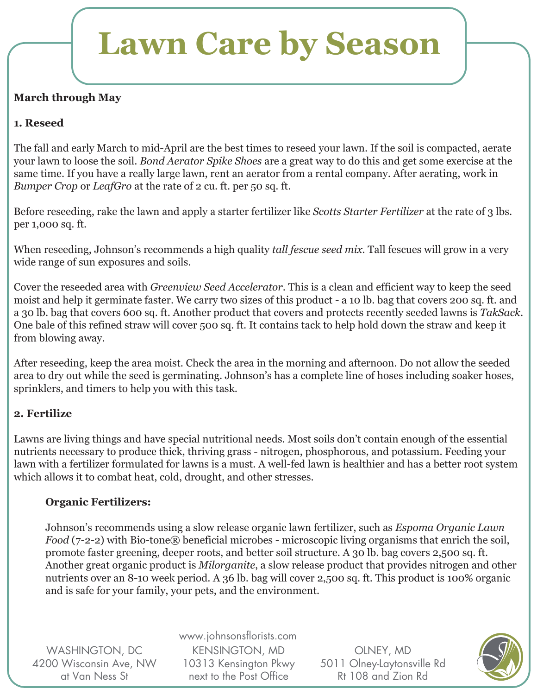### **March through May**

### **1. Reseed**

The fall and early March to mid-April are the best times to reseed your lawn. If the soil is compacted, aerate your lawn to loose the soil. *Bond Aerator Spike Shoes* are a great way to do this and get some exercise at the same time. If you have a really large lawn, rent an aerator from a rental company. After aerating, work in *Bumper Crop* or *LeafGro* at the rate of 2 cu. ft. per 50 sq. ft.

Before reseeding, rake the lawn and apply a starter fertilizer like *Scotts Starter Fertilizer* at the rate of 3 lbs. per 1,000 sq. ft.

When reseeding, Johnson's recommends a high quality *tall fescue seed mix*. Tall fescues will grow in a very wide range of sun exposures and soils.

Cover the reseeded area with *Greenview Seed Accelerator*. This is a clean and efficient way to keep the seed moist and help it germinate faster. We carry two sizes of this product - a 10 lb. bag that covers 200 sq. ft. and a 30 lb. bag that covers 600 sq. ft. Another product that covers and protects recently seeded lawns is *TakSack*. One bale of this refined straw will cover 500 sq. ft. It contains tack to help hold down the straw and keep it from blowing away.

After reseeding, keep the area moist. Check the area in the morning and afternoon. Do not allow the seeded area to dry out while the seed is germinating. Johnson's has a complete line of hoses including soaker hoses, sprinklers, and timers to help you with this task.

### **2. Fertilize**

Lawns are living things and have special nutritional needs. Most soils don't contain enough of the essential nutrients necessary to produce thick, thriving grass - nitrogen, phosphorous, and potassium. Feeding your lawn with a fertilizer formulated for lawns is a must. A well-fed lawn is healthier and has a better root system which allows it to combat heat, cold, drought, and other stresses.

### **Organic Fertilizers:**

 Johnson's recommends using a slow release organic lawn fertilizer, such as *Espoma Organic Lawn Food* (7-2-2) with Bio-tone® beneficial microbes - microscopic living organisms that enrich the soil, promote faster greening, deeper roots, and better soil structure. A 30 lb. bag covers 2,500 sq. ft. Another great organic product is *Milorganite*, a slow release product that provides nitrogen and other nutrients over an 8-10 week period. A 36 lb. bag will cover 2,500 sq. ft. This product is 100% organic and is safe for your family, your pets, and the environment.

WASHINGTON, DC 4200 Wisconsin Ave, NW at Van Ness St

www.johnsonsflorists.com KENSINGTON, MD 10313 Kensington Pkwy next to the Post Office

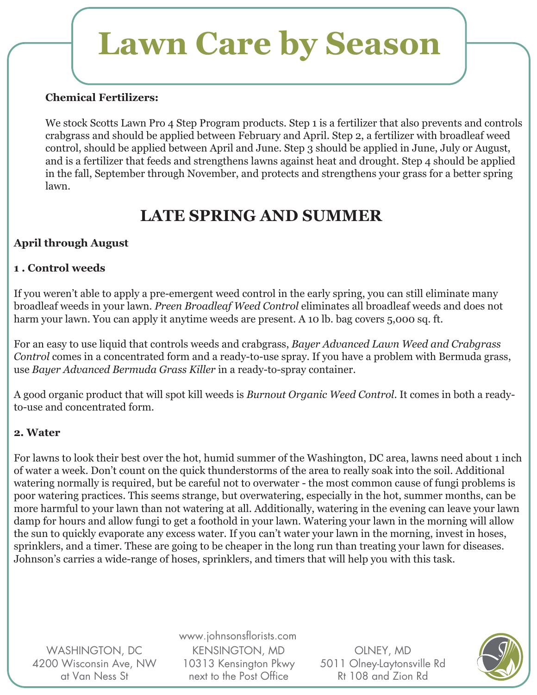#### **Chemical Fertilizers:**

We stock Scotts Lawn Pro 4 Step Program products. Step 1 is a fertilizer that also prevents and controls crabgrass and should be applied between February and April. Step 2, a fertilizer with broadleaf weed control, should be applied between April and June. Step 3 should be applied in June, July or August, and is a fertilizer that feeds and strengthens lawns against heat and drought. Step 4 should be applied in the fall, September through November, and protects and strengthens your grass for a better spring lawn.

### **LATE SPRING AND SUMMER**

### **April through August**

### **1 . Control weeds**

If you weren't able to apply a pre-emergent weed control in the early spring, you can still eliminate many broadleaf weeds in your lawn. *Preen Broadleaf Weed Control* eliminates all broadleaf weeds and does not harm your lawn. You can apply it anytime weeds are present. A 10 lb. bag covers 5,000 sq. ft.

For an easy to use liquid that controls weeds and crabgrass, *Bayer Advanced Lawn Weed and Crabgrass Control* comes in a concentrated form and a ready-to-use spray. If you have a problem with Bermuda grass, use *Bayer Advanced Bermuda Grass Killer* in a ready-to-spray container.

A good organic product that will spot kill weeds is *Burnout Organic Weed Control*. It comes in both a readyto-use and concentrated form.

### **2. Water**

For lawns to look their best over the hot, humid summer of the Washington, DC area, lawns need about 1 inch of water a week. Don't count on the quick thunderstorms of the area to really soak into the soil. Additional watering normally is required, but be careful not to overwater - the most common cause of fungi problems is poor watering practices. This seems strange, but overwatering, especially in the hot, summer months, can be more harmful to your lawn than not watering at all. Additionally, watering in the evening can leave your lawn damp for hours and allow fungi to get a foothold in your lawn. Watering your lawn in the morning will allow the sun to quickly evaporate any excess water. If you can't water your lawn in the morning, invest in hoses, sprinklers, and a timer. These are going to be cheaper in the long run than treating your lawn for diseases. Johnson's carries a wide-range of hoses, sprinklers, and timers that will help you with this task.

WASHINGTON, DC 4200 Wisconsin Ave, NW at Van Ness St

www.johnsonsflorists.com KENSINGTON, MD 10313 Kensington Pkwy next to the Post Office

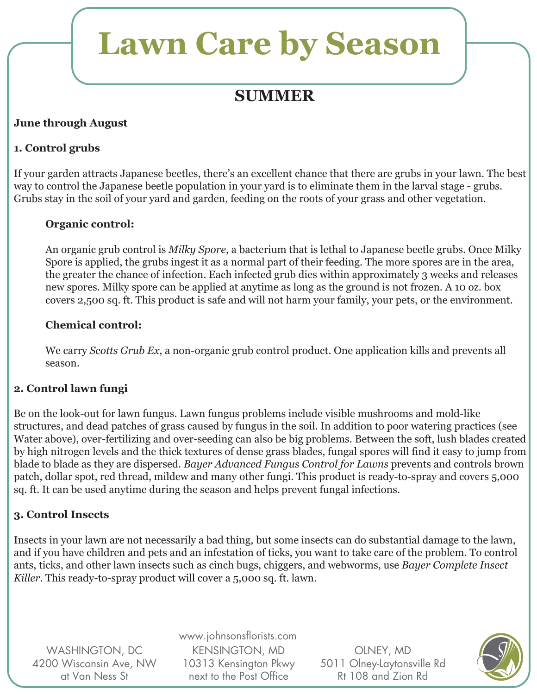### **SUMMER**

### **June through August**

### **1. Control grubs**

If your garden attracts Japanese beetles, there's an excellent chance that there are grubs in your lawn. The best way to control the Japanese beetle population in your yard is to eliminate them in the larval stage - grubs. Grubs stay in the soil of your yard and garden, feeding on the roots of your grass and other vegetation.

#### **Organic control:**

An organic grub control is *Milky Spore*, a bacterium that is lethal to Japanese beetle grubs. Once Milky Spore is applied, the grubs ingest it as a normal part of their feeding. The more spores are in the area, the greater the chance of infection. Each infected grub dies within approximately 3 weeks and releases new spores. Milky spore can be applied at anytime as long as the ground is not frozen. A 10 oz. box covers 2,500 sq. ft. This product is safe and will not harm your family, your pets, or the environment.

#### **Chemical control:**

We carry *Scotts Grub Ex*, a non-organic grub control product. One application kills and prevents all season.

### **2. Control lawn fungi**

Be on the look-out for lawn fungus. Lawn fungus problems include visible mushrooms and mold-like structures, and dead patches of grass caused by fungus in the soil. In addition to poor watering practices (see Water above), over-fertilizing and over-seeding can also be big problems. Between the soft, lush blades created by high nitrogen levels and the thick textures of dense grass blades, fungal spores will find it easy to jump from blade to blade as they are dispersed. *Bayer Advanced Fungus Control for Lawns* prevents and controls brown patch, dollar spot, red thread, mildew and many other fungi. This product is ready-to-spray and covers 5,000 sq. ft. It can be used anytime during the season and helps prevent fungal infections.

### **3. Control Insects**

Insects in your lawn are not necessarily a bad thing, but some insects can do substantial damage to the lawn, and if you have children and pets and an infestation of ticks, you want to take care of the problem. To control ants, ticks, and other lawn insects such as cinch bugs, chiggers, and webworms, use *Bayer Complete Insect Killer*. This ready-to-spray product will cover a 5,000 sq. ft. lawn.

WASHINGTON, DC 4200 Wisconsin Ave, NW at Van Ness St

www.johnsonsflorists.com KENSINGTON, MD 10313 Kensington Pkwy next to the Post Office